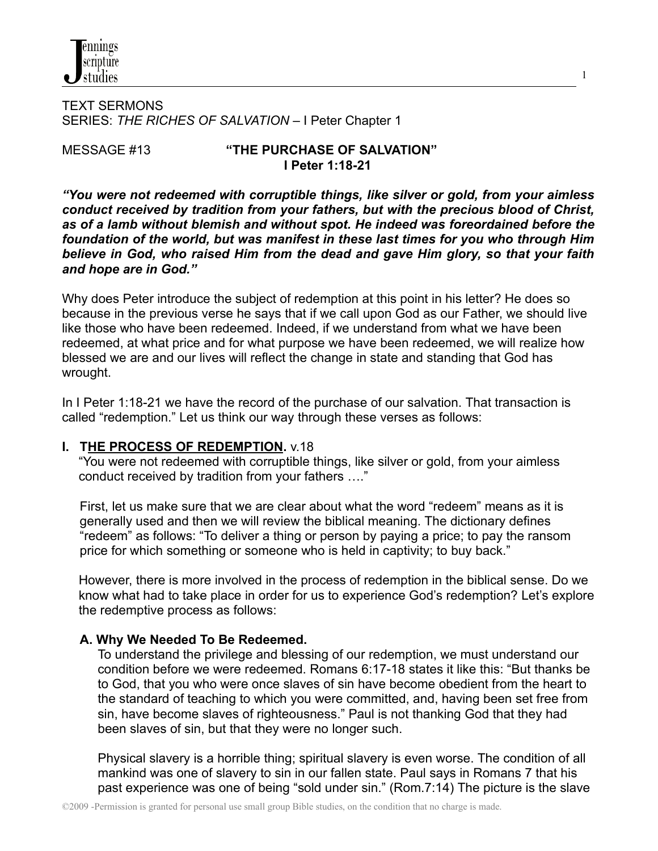

TEXT SERMONS SERIES: *THE RICHES OF SALVATION* – I Peter Chapter 1

#### MESSAGE #13 **"THE PURCHASE OF SALVATION" I Peter 1:18-21**

1

*"You were not redeemed with corruptible things, like silver or gold, from your aimless conduct received by tradition from your fathers, but with the precious blood of Christ, as of a lamb without blemish and without spot. He indeed was foreordained before the foundation of the world, but was manifest in these last times for you who through Him believe in God, who raised Him from the dead and gave Him glory, so that your faith and hope are in God."*

Why does Peter introduce the subject of redemption at this point in his letter? He does so because in the previous verse he says that if we call upon God as our Father, we should live like those who have been redeemed. Indeed, if we understand from what we have been redeemed, at what price and for what purpose we have been redeemed, we will realize how blessed we are and our lives will reflect the change in state and standing that God has wrought.

In I Peter 1:18-21 we have the record of the purchase of our salvation. That transaction is called "redemption." Let us think our way through these verses as follows:

#### **I. THE PROCESS OF REDEMPTION.** v.18

"You were not redeemed with corruptible things, like silver or gold, from your aimless conduct received by tradition from your fathers …."

First, let us make sure that we are clear about what the word "redeem" means as it is generally used and then we will review the biblical meaning. The dictionary defines "redeem" as follows: "To deliver a thing or person by paying a price; to pay the ransom price for which something or someone who is held in captivity; to buy back."

However, there is more involved in the process of redemption in the biblical sense. Do we know what had to take place in order for us to experience God's redemption? Let's explore the redemptive process as follows:

#### **A. Why We Needed To Be Redeemed.**

To understand the privilege and blessing of our redemption, we must understand our condition before we were redeemed. Romans 6:17-18 states it like this: "But thanks be to God, that you who were once slaves of sin have become obedient from the heart to the standard of teaching to which you were committed, and, having been set free from sin, have become slaves of righteousness." Paul is not thanking God that they had been slaves of sin, but that they were no longer such.

Physical slavery is a horrible thing; spiritual slavery is even worse. The condition of all mankind was one of slavery to sin in our fallen state. Paul says in Romans 7 that his past experience was one of being "sold under sin." (Rom.7:14) The picture is the slave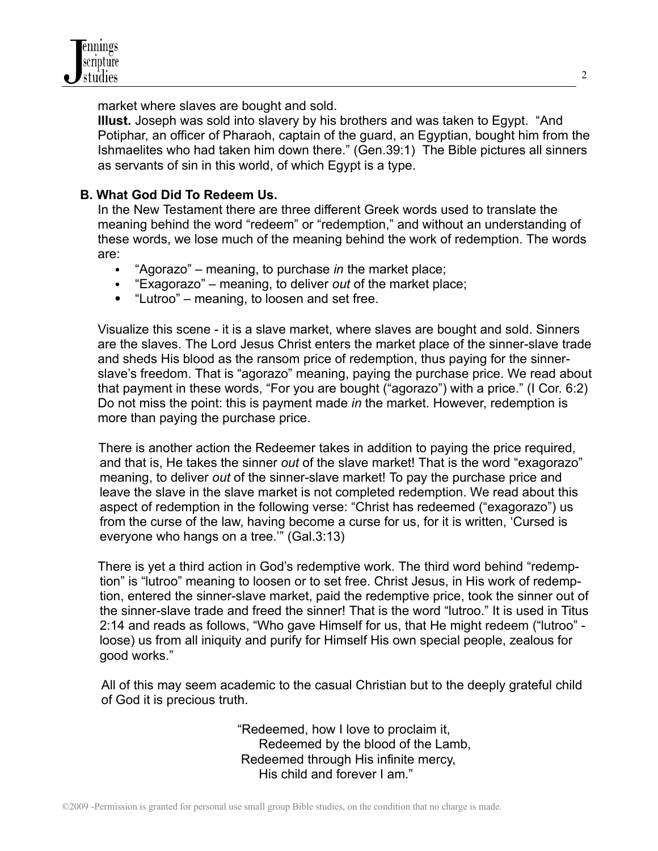

market where slaves are bought and sold.

**Illust.** Joseph was sold into slavery by his brothers and was taken to Egypt. "And Potiphar, an officer of Pharaoh, captain of the guard, an Egyptian, bought him from the Ishmaelites who had taken him down there." (Gen.39:1) The Bible pictures all sinners as servants of sin in this world, of which Egypt is a type.

### **B. What God Did To Redeem Us.**

In the New Testament there are three different Greek words used to translate the meaning behind the word "redeem" or "redemption," and without an understanding of these words, we lose much of the meaning behind the work of redemption. The words are:

- "Agorazo" meaning, to purchase *in* the market place;
- "Exagorazo" meaning, to deliver *out* of the market place;
- "Lutroo" meaning, to loosen and set free.

Visualize this scene - it is a slave market, where slaves are bought and sold. Sinners are the slaves. The Lord Jesus Christ enters the market place of the sinner-slave trade and sheds His blood as the ransom price of redemption, thus paying for the sinnerslave's freedom. That is "agorazo" meaning, paying the purchase price. We read about that payment in these words, "For you are bought ("agorazo") with a price." (I Cor. 6:2) Do not miss the point: this is payment made *in* the market. However, redemption is more than paying the purchase price.

There is another action the Redeemer takes in addition to paying the price required, and that is, He takes the sinner *out* of the slave market! That is the word "exagorazo" meaning, to deliver *out* of the sinner-slave market! To pay the purchase price and leave the slave in the slave market is not completed redemption. We read about this aspect of redemption in the following verse: "Christ has redeemed ("exagorazo") us from the curse of the law, having become a curse for us, for it is written, 'Cursed is everyone who hangs on a tree.'" (Gal.3:13)

There is yet a third action in God's redemptive work. The third word behind "redemption" is "lutroo" meaning to loosen or to set free. Christ Jesus, in His work of redemption, entered the sinner-slave market, paid the redemptive price, took the sinner out of the sinner-slave trade and freed the sinner! That is the word "lutroo." It is used in Titus 2:14 and reads as follows, "Who gave Himself for us, that He might redeem ("lutroo" loose) us from all iniquity and purify for Himself His own special people, zealous for good works."

All of this may seem academic to the casual Christian but to the deeply grateful child of God it is precious truth.

> "Redeemed, how I love to proclaim it, Redeemed by the blood of the Lamb, Redeemed through His infinite mercy, His child and forever I am."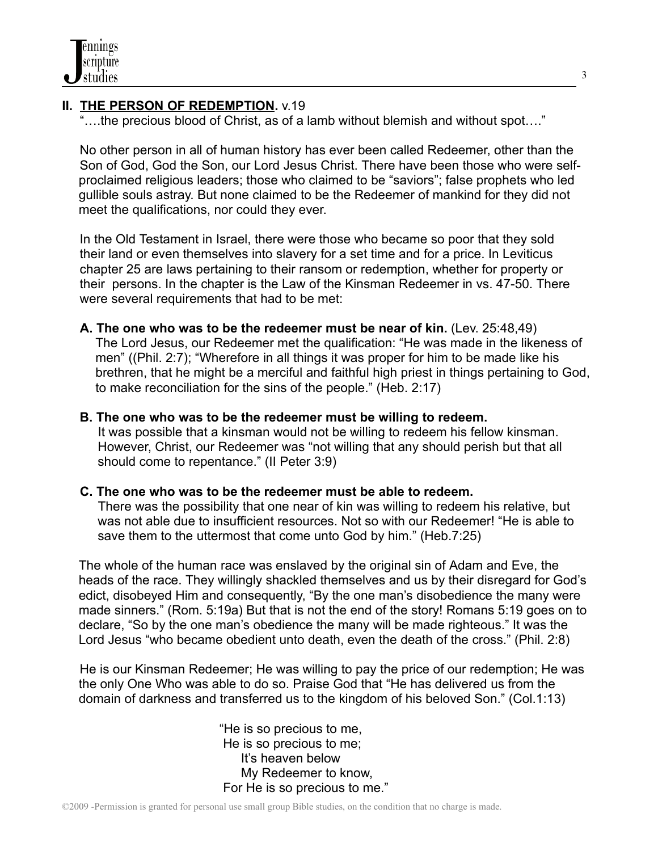# **II. THE PERSON OF REDEMPTION.** v.19

"….the precious blood of Christ, as of a lamb without blemish and without spot…."

No other person in all of human history has ever been called Redeemer, other than the Son of God, God the Son, our Lord Jesus Christ. There have been those who were selfproclaimed religious leaders; those who claimed to be "saviors"; false prophets who led gullible souls astray. But none claimed to be the Redeemer of mankind for they did not meet the qualifications, nor could they ever.

In the Old Testament in Israel, there were those who became so poor that they sold their land or even themselves into slavery for a set time and for a price. In Leviticus chapter 25 are laws pertaining to their ransom or redemption, whether for property or their persons. In the chapter is the Law of the Kinsman Redeemer in vs. 47-50. There were several requirements that had to be met:

**A. The one who was to be the redeemer must be near of kin.** (Lev. 25:48,49) The Lord Jesus, our Redeemer met the qualification: "He was made in the likeness of men" ((Phil. 2:7); "Wherefore in all things it was proper for him to be made like his brethren, that he might be a merciful and faithful high priest in things pertaining to God, to make reconciliation for the sins of the people." (Heb. 2:17)

### **B. The one who was to be the redeemer must be willing to redeem.**

It was possible that a kinsman would not be willing to redeem his fellow kinsman. However, Christ, our Redeemer was "not willing that any should perish but that all should come to repentance." (II Peter 3:9)

### **C. The one who was to be the redeemer must be able to redeem.**

There was the possibility that one near of kin was willing to redeem his relative, but was not able due to insufficient resources. Not so with our Redeemer! "He is able to save them to the uttermost that come unto God by him." (Heb.7:25)

The whole of the human race was enslaved by the original sin of Adam and Eve, the heads of the race. They willingly shackled themselves and us by their disregard for God's edict, disobeyed Him and consequently, "By the one man's disobedience the many were made sinners." (Rom. 5:19a) But that is not the end of the story! Romans 5:19 goes on to declare, "So by the one man's obedience the many will be made righteous." It was the Lord Jesus "who became obedient unto death, even the death of the cross." (Phil. 2:8)

He is our Kinsman Redeemer; He was willing to pay the price of our redemption; He was the only One Who was able to do so. Praise God that "He has delivered us from the domain of darkness and transferred us to the kingdom of his beloved Son." (Col.1:13)

> "He is so precious to me, He is so precious to me; It's heaven below My Redeemer to know, For He is so precious to me."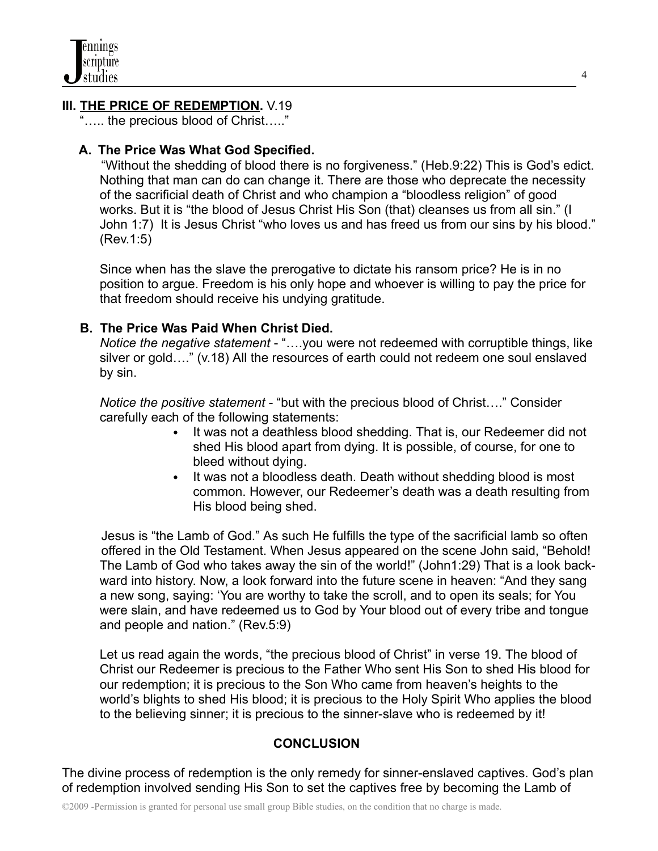## **III. THE PRICE OF REDEMPTION.** V.19

"….. the precious blood of Christ….."

## **A. The Price Was What God Specified.**

"Without the shedding of blood there is no forgiveness." (Heb.9:22) This is God's edict. Nothing that man can do can change it. There are those who deprecate the necessity of the sacrificial death of Christ and who champion a "bloodless religion" of good works. But it is "the blood of Jesus Christ His Son (that) cleanses us from all sin." (I John 1:7) It is Jesus Christ "who loves us and has freed us from our sins by his blood." (Rev.1:5)

Since when has the slave the prerogative to dictate his ransom price? He is in no position to argue. Freedom is his only hope and whoever is willing to pay the price for that freedom should receive his undying gratitude.

### **B. The Price Was Paid When Christ Died.**

*Notice the negative statement* - "….you were not redeemed with corruptible things, like silver or gold…." (v.18) All the resources of earth could not redeem one soul enslaved by sin.

*Notice the positive statement* - "but with the precious blood of Christ…." Consider carefully each of the following statements:

- It was not a deathless blood shedding. That is, our Redeemer did not shed His blood apart from dying. It is possible, of course, for one to bleed without dying.
- It was not a bloodless death. Death without shedding blood is most common. However, our Redeemer's death was a death resulting from His blood being shed.

Jesus is "the Lamb of God." As such He fulfills the type of the sacrificial lamb so often offered in the Old Testament. When Jesus appeared on the scene John said, "Behold! The Lamb of God who takes away the sin of the world!" (John1:29) That is a look backward into history. Now, a look forward into the future scene in heaven: "And they sang a new song, saying: 'You are worthy to take the scroll, and to open its seals; for You were slain, and have redeemed us to God by Your blood out of every tribe and tongue and people and nation." (Rev.5:9)

Let us read again the words, "the precious blood of Christ" in verse 19. The blood of Christ our Redeemer is precious to the Father Who sent His Son to shed His blood for our redemption; it is precious to the Son Who came from heaven's heights to the world's blights to shed His blood; it is precious to the Holy Spirit Who applies the blood to the believing sinner; it is precious to the sinner-slave who is redeemed by it!

## **CONCLUSION**

The divine process of redemption is the only remedy for sinner-enslaved captives. God's plan of redemption involved sending His Son to set the captives free by becoming the Lamb of